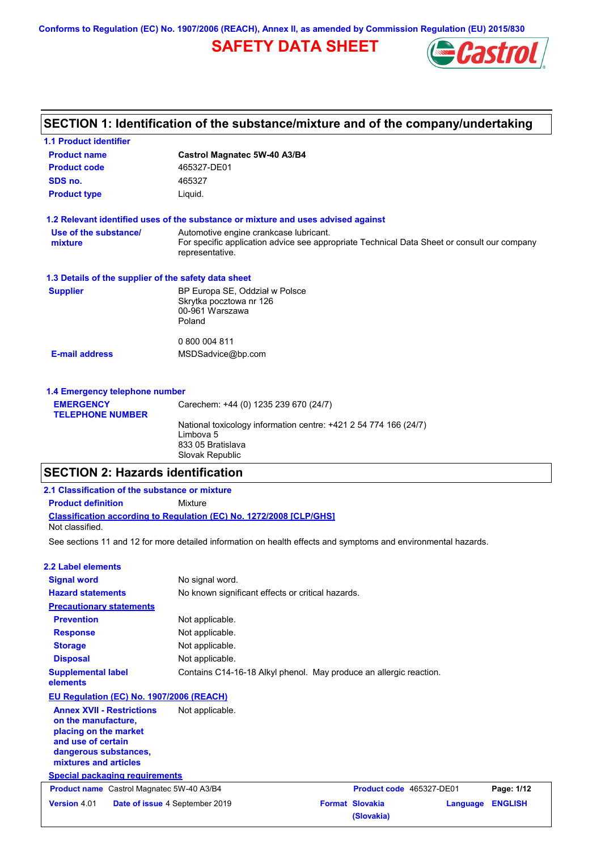**Conforms to Regulation (EC) No. 1907/2006 (REACH), Annex II, as amended by Commission Regulation (EU) 2015/830**

## **SAFETY DATA SHEET**



# **SECTION 1: Identification of the substance/mixture and of the company/undertaking**

| <b>1.1 Product identifier</b>                        |                                                                                                                                                          |
|------------------------------------------------------|----------------------------------------------------------------------------------------------------------------------------------------------------------|
| <b>Product name</b>                                  | Castrol Magnatec 5W-40 A3/B4                                                                                                                             |
| <b>Product code</b>                                  | 465327-DE01                                                                                                                                              |
| SDS no.                                              | 465327                                                                                                                                                   |
| <b>Product type</b>                                  | Liquid.                                                                                                                                                  |
|                                                      | 1.2 Relevant identified uses of the substance or mixture and uses advised against                                                                        |
| Use of the substance/<br>mixture                     | Automotive engine crankcase lubricant.<br>For specific application advice see appropriate Technical Data Sheet or consult our company<br>representative. |
| 1.3 Details of the supplier of the safety data sheet |                                                                                                                                                          |
| <b>Supplier</b>                                      | BP Europa SE, Oddział w Polsce<br>Skrytka pocztowa nr 126<br>00-961 Warszawa<br>Poland                                                                   |
|                                                      | 0 800 004 811                                                                                                                                            |
| <b>E-mail address</b>                                | MSDSadvice@bp.com                                                                                                                                        |
| 1.4 Emergency telephone number                       |                                                                                                                                                          |
|                                                      | <b>EMERCEMOV</b> Coronage 144 (0) 1995 990 670 (94/7)                                                                                                    |

| <b>EMERGENCY</b>        | Carechem: +44 (0) 1235 239 670 (24/7)                                                                                 |
|-------------------------|-----------------------------------------------------------------------------------------------------------------------|
| <b>TELEPHONE NUMBER</b> |                                                                                                                       |
|                         | National toxicology information centre: +421 2 54 774 166 (24/7)<br>Limbova 5<br>833 05 Bratislava<br>Slovak Republic |

# **SECTION 2: Hazards identification**

| 2.1 Classification of the substance or mixture                                                                                                           |                                                                                                                |
|----------------------------------------------------------------------------------------------------------------------------------------------------------|----------------------------------------------------------------------------------------------------------------|
| <b>Product definition</b>                                                                                                                                | Mixture                                                                                                        |
| Not classified.                                                                                                                                          | Classification according to Regulation (EC) No. 1272/2008 [CLP/GHS]                                            |
|                                                                                                                                                          | See sections 11 and 12 for more detailed information on health effects and symptoms and environmental hazards. |
| 2.2 Label elements                                                                                                                                       |                                                                                                                |
| <b>Signal word</b>                                                                                                                                       | No signal word.                                                                                                |
| <b>Hazard statements</b>                                                                                                                                 | No known significant effects or critical hazards.                                                              |
| <b>Precautionary statements</b>                                                                                                                          |                                                                                                                |
| <b>Prevention</b>                                                                                                                                        | Not applicable.                                                                                                |
| <b>Response</b>                                                                                                                                          | Not applicable.                                                                                                |
| <b>Storage</b>                                                                                                                                           | Not applicable.                                                                                                |
| <b>Disposal</b>                                                                                                                                          | Not applicable.                                                                                                |
| <b>Supplemental label</b><br>elements                                                                                                                    | Contains C14-16-18 Alkyl phenol. May produce an allergic reaction.                                             |
| <b>EU Regulation (EC) No. 1907/2006 (REACH)</b>                                                                                                          |                                                                                                                |
| <b>Annex XVII - Restrictions</b><br>on the manufacture,<br>placing on the market<br>and use of certain<br>dangerous substances,<br>mixtures and articles | Not applicable.                                                                                                |
| <b>Special packaging requirements</b>                                                                                                                    |                                                                                                                |
| Product name Castrol Magnatec 5W-40 A3/B4                                                                                                                | Product code 465327-DE01<br>Page: 1/12                                                                         |
| <b>Version 4.01</b>                                                                                                                                      | <b>Format Slovakia</b><br><b>ENGLISH</b><br>Date of issue 4 September 2019<br>Language<br>(Slovakia)           |
|                                                                                                                                                          |                                                                                                                |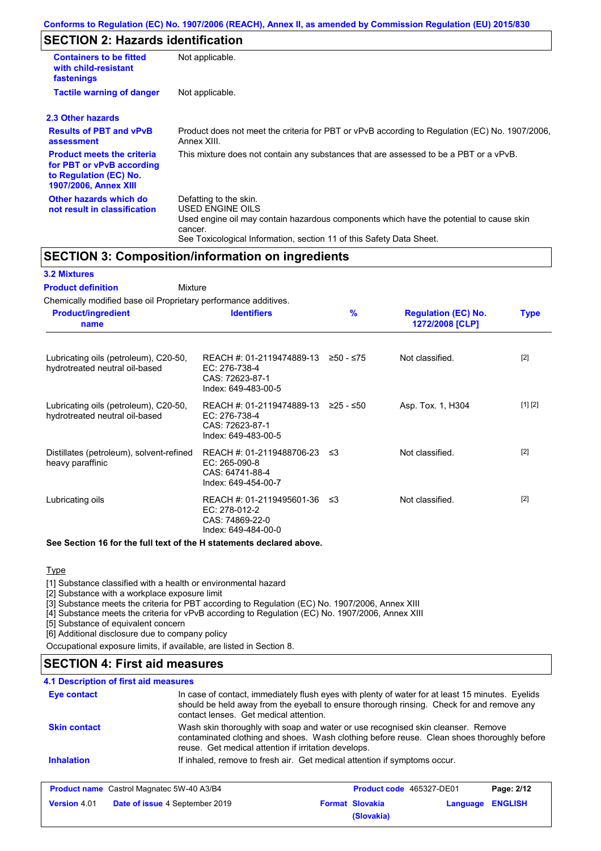## **SECTION 2: Hazards identification**

| <b>Containers to be fitted</b><br>with child-resistant<br>fastenings                                                     | Not applicable.                                                                                                                                                                                                          |  |  |  |
|--------------------------------------------------------------------------------------------------------------------------|--------------------------------------------------------------------------------------------------------------------------------------------------------------------------------------------------------------------------|--|--|--|
| <b>Tactile warning of danger</b>                                                                                         | Not applicable.                                                                                                                                                                                                          |  |  |  |
| 2.3 Other hazards                                                                                                        |                                                                                                                                                                                                                          |  |  |  |
| <b>Results of PBT and vPvB</b><br>assessment                                                                             | Product does not meet the criteria for PBT or vPvB according to Regulation (EC) No. 1907/2006,<br>Annex XIII.                                                                                                            |  |  |  |
| <b>Product meets the criteria</b><br>for PBT or vPvB according<br>to Regulation (EC) No.<br><b>1907/2006, Annex XIII</b> | This mixture does not contain any substances that are assessed to be a PBT or a vPvB.                                                                                                                                    |  |  |  |
| Other hazards which do<br>not result in classification                                                                   | Defatting to the skin.<br>USED ENGINE OILS<br>Used engine oil may contain hazardous components which have the potential to cause skin<br>cancer.<br>See Toxicological Information, section 11 of this Safety Data Sheet. |  |  |  |

### **SECTION 3: Composition/information on ingredients**

| <b>3.2 Mixtures</b>                                                     |                                                                                                  |               |                                               |             |
|-------------------------------------------------------------------------|--------------------------------------------------------------------------------------------------|---------------|-----------------------------------------------|-------------|
| <b>Product definition</b><br>Mixture                                    |                                                                                                  |               |                                               |             |
| Chemically modified base oil Proprietary performance additives.         |                                                                                                  |               |                                               |             |
| <b>Product/ingredient</b><br>name                                       | <b>Identifiers</b>                                                                               | $\frac{9}{6}$ | <b>Regulation (EC) No.</b><br>1272/2008 [CLP] | <b>Type</b> |
| Lubricating oils (petroleum), C20-50,<br>hydrotreated neutral oil-based | REACH #: 01-2119474889-13<br>EC: 276-738-4<br>CAS: 72623-87-1<br>Index: 649-483-00-5             | ≥50 - ≤75     | Not classified.                               | $[2]$       |
| Lubricating oils (petroleum), C20-50,<br>hydrotreated neutral oil-based | REACH #: 01-2119474889-13 ≥25 - ≤50<br>$EC: 276-738-4$<br>CAS: 72623-87-1<br>Index: 649-483-00-5 |               | Asp. Tox. 1, H304                             | [1] [2]     |
| Distillates (petroleum), solvent-refined<br>heavy paraffinic            | REACH #: 01-2119488706-23 ≤3<br>$EC: 265-090-8$<br>CAS: 64741-88-4<br>Index: 649-454-00-7        |               | Not classified.                               | $[2]$       |
| Lubricating oils                                                        | REACH #: 01-2119495601-36 ≤3<br>EC: 278-012-2<br>CAS: 74869-22-0<br>Index: 649-484-00-0          |               | Not classified.                               | $[2]$       |
| Can Continued C fourths full tout of the Untertainments deployed phone  |                                                                                                  |               |                                               |             |

**See Section 16 for the full text of the H statements declared above.**

#### Type

**Version** 4.01

[1] Substance classified with a health or environmental hazard

[2] Substance with a workplace exposure limit

[3] Substance meets the criteria for PBT according to Regulation (EC) No. 1907/2006, Annex XIII

[4] Substance meets the criteria for vPvB according to Regulation (EC) No. 1907/2006, Annex XIII

[5] Substance of equivalent concern

[6] Additional disclosure due to company policy

Occupational exposure limits, if available, are listed in Section 8.

### **SECTION 4: First aid measures**

**4.1 Description of first aid measures**

| Eye contact                                      | contact lenses. Get medical attention.               | In case of contact, immediately flush eyes with plenty of water for at least 15 minutes. Eyelids<br>should be held away from the eyeball to ensure thorough rinsing. Check for and remove any |            |
|--------------------------------------------------|------------------------------------------------------|-----------------------------------------------------------------------------------------------------------------------------------------------------------------------------------------------|------------|
| <b>Skin contact</b>                              | reuse. Get medical attention if irritation develops. | Wash skin thoroughly with soap and water or use recognised skin cleanser. Remove<br>contaminated clothing and shoes. Wash clothing before reuse. Clean shoes thoroughly before                |            |
| <b>Inhalation</b>                                |                                                      | If inhaled, remove to fresh air. Get medical attention if symptoms occur.                                                                                                                     |            |
| <b>Product name</b> Castrol Magnatec 5W-40 A3/B4 |                                                      | <b>Product code</b> 465327-DE01                                                                                                                                                               | Page: 2/12 |

**Date of issue** 4 September 2019 **Format Slovakia Language ENGLISH**

**(Slovakia)**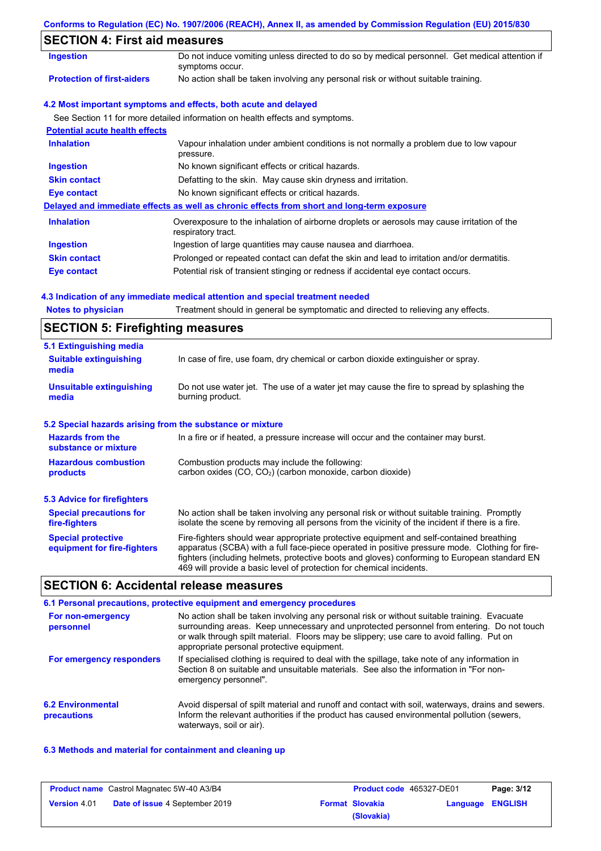| Conforms to Regulation (EC) No. 1907/2006 (REACH), Annex II, as amended by Commission Regulation (EU) 2015/830 |  |  |  |  |
|----------------------------------------------------------------------------------------------------------------|--|--|--|--|
|----------------------------------------------------------------------------------------------------------------|--|--|--|--|

## **SECTION 4: First aid measures**

| SECTION 4. FIISL 410 MEASURS          |                                                                                                                   |
|---------------------------------------|-------------------------------------------------------------------------------------------------------------------|
| Ingestion                             | Do not induce vomiting unless directed to do so by medical personnel. Get medical attention if<br>symptoms occur. |
| <b>Protection of first-aiders</b>     | No action shall be taken involving any personal risk or without suitable training.                                |
|                                       | 4.2 Most important symptoms and effects, both acute and delayed                                                   |
|                                       | See Section 11 for more detailed information on health effects and symptoms.                                      |
| <b>Potential acute health effects</b> |                                                                                                                   |
| <b>Inhalation</b>                     | Vapour inhalation under ambient conditions is not normally a problem due to low vapour<br>pressure.               |
| <b>Ingestion</b>                      | No known significant effects or critical hazards.                                                                 |
| <b>Skin contact</b>                   | Defatting to the skin. May cause skin dryness and irritation.                                                     |
| Eye contact                           | No known significant effects or critical hazards.                                                                 |
|                                       | Delayed and immediate effects as well as chronic effects from short and long-term exposure                        |
| <b>Inhalation</b>                     | Overexposure to the inhalation of airborne droplets or aerosols may cause irritation of the<br>respiratory tract. |
| <b>Ingestion</b>                      | Ingestion of large quantities may cause nausea and diarrhoea.                                                     |
| <b>Skin contact</b>                   | Prolonged or repeated contact can defat the skin and lead to irritation and/or dermatitis.                        |
| <b>Eye contact</b>                    | Potential risk of transient stinging or redness if accidental eye contact occurs.                                 |

### **4.3 Indication of any immediate medical attention and special treatment needed**

|  | <b>Notes to physician</b> | Treatment should in general be symptomatic and directed to relieving any effects. |  |
|--|---------------------------|-----------------------------------------------------------------------------------|--|
|--|---------------------------|-----------------------------------------------------------------------------------|--|

# **SECTION 5: Firefighting measures**

| 5.1 Extinguishing media                                   |                                                                                                                                                                                                                                                                                                                                                                   |
|-----------------------------------------------------------|-------------------------------------------------------------------------------------------------------------------------------------------------------------------------------------------------------------------------------------------------------------------------------------------------------------------------------------------------------------------|
| <b>Suitable extinguishing</b><br>media                    | In case of fire, use foam, dry chemical or carbon dioxide extinguisher or spray.                                                                                                                                                                                                                                                                                  |
| <b>Unsuitable extinguishing</b><br>media                  | Do not use water jet. The use of a water jet may cause the fire to spread by splashing the<br>burning product.                                                                                                                                                                                                                                                    |
| 5.2 Special hazards arising from the substance or mixture |                                                                                                                                                                                                                                                                                                                                                                   |
| <b>Hazards from the</b><br>substance or mixture           | In a fire or if heated, a pressure increase will occur and the container may burst.                                                                                                                                                                                                                                                                               |
| <b>Hazardous combustion</b><br>products                   | Combustion products may include the following:<br>carbon oxides (CO, CO2) (carbon monoxide, carbon dioxide)                                                                                                                                                                                                                                                       |
| 5.3 Advice for firefighters                               |                                                                                                                                                                                                                                                                                                                                                                   |
| <b>Special precautions for</b><br>fire-fighters           | No action shall be taken involving any personal risk or without suitable training. Promptly<br>isolate the scene by removing all persons from the vicinity of the incident if there is a fire.                                                                                                                                                                    |
| <b>Special protective</b><br>equipment for fire-fighters  | Fire-fighters should wear appropriate protective equipment and self-contained breathing<br>apparatus (SCBA) with a full face-piece operated in positive pressure mode. Clothing for fire-<br>fighters (including helmets, protective boots and gloves) conforming to European standard EN<br>469 will provide a basic level of protection for chemical incidents. |

# **SECTION 6: Accidental release measures**

|                                         | 6.1 Personal precautions, protective equipment and emergency procedures                                                                                                                                                                                                                                                             |
|-----------------------------------------|-------------------------------------------------------------------------------------------------------------------------------------------------------------------------------------------------------------------------------------------------------------------------------------------------------------------------------------|
| For non-emergency<br>personnel          | No action shall be taken involving any personal risk or without suitable training. Evacuate<br>surrounding areas. Keep unnecessary and unprotected personnel from entering. Do not touch<br>or walk through spilt material. Floors may be slippery; use care to avoid falling. Put on<br>appropriate personal protective equipment. |
| For emergency responders                | If specialised clothing is required to deal with the spillage, take note of any information in<br>Section 8 on suitable and unsuitable materials. See also the information in "For non-<br>emergency personnel".                                                                                                                    |
| <b>6.2 Environmental</b><br>precautions | Avoid dispersal of spilt material and runoff and contact with soil, waterways, drains and sewers.<br>Inform the relevant authorities if the product has caused environmental pollution (sewers,<br>waterways, soil or air).                                                                                                         |

### **6.3 Methods and material for containment and cleaning up**

| <b>Product name</b> Castrol Magnatec 5W-40 A3/B4 |                                       | <b>Product code</b> 465327-DE01 |                        | Page: 3/12              |  |
|--------------------------------------------------|---------------------------------------|---------------------------------|------------------------|-------------------------|--|
| <b>Version 4.01</b>                              | <b>Date of issue 4 September 2019</b> |                                 | <b>Format Slovakia</b> | <b>Language ENGLISH</b> |  |
|                                                  |                                       |                                 | (Slovakia)             |                         |  |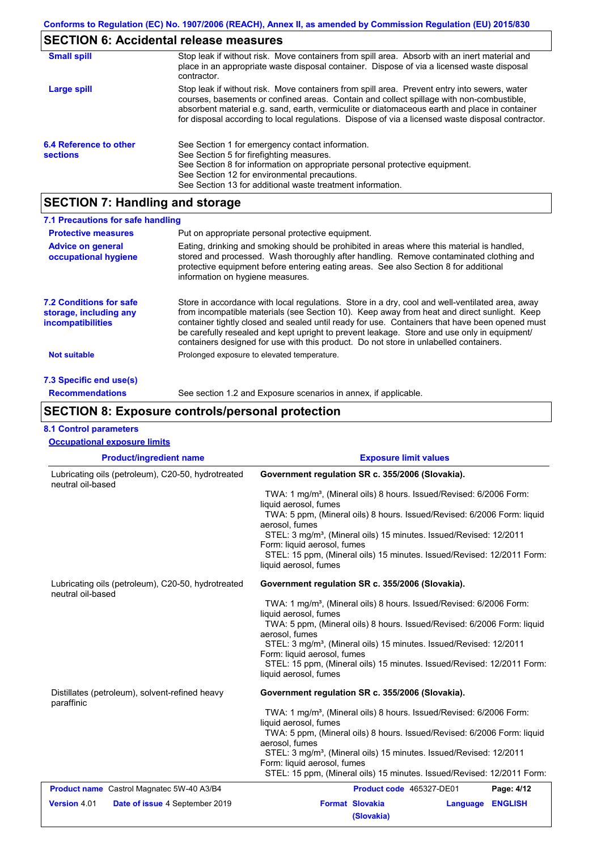# **SECTION 6: Accidental release measures**

| <b>Small spill</b>                        | Stop leak if without risk. Move containers from spill area. Absorb with an inert material and<br>place in an appropriate waste disposal container. Dispose of via a licensed waste disposal<br>contractor.                                                                                                                                                                                     |
|-------------------------------------------|------------------------------------------------------------------------------------------------------------------------------------------------------------------------------------------------------------------------------------------------------------------------------------------------------------------------------------------------------------------------------------------------|
| Large spill                               | Stop leak if without risk. Move containers from spill area. Prevent entry into sewers, water<br>courses, basements or confined areas. Contain and collect spillage with non-combustible,<br>absorbent material e.g. sand, earth, vermiculite or diatomaceous earth and place in container<br>for disposal according to local regulations. Dispose of via a licensed waste disposal contractor. |
| 6.4 Reference to other<br><b>sections</b> | See Section 1 for emergency contact information.<br>See Section 5 for firefighting measures.<br>See Section 8 for information on appropriate personal protective equipment.<br>See Section 12 for environmental precautions.<br>See Section 13 for additional waste treatment information.                                                                                                     |

# **SECTION 7: Handling and storage**

| 7.1 Precautions for safe handling                                                    |                                                                                                                                                                                                                                                                                                                                                                                                                                                                                          |  |  |
|--------------------------------------------------------------------------------------|------------------------------------------------------------------------------------------------------------------------------------------------------------------------------------------------------------------------------------------------------------------------------------------------------------------------------------------------------------------------------------------------------------------------------------------------------------------------------------------|--|--|
| <b>Protective measures</b>                                                           | Put on appropriate personal protective equipment.                                                                                                                                                                                                                                                                                                                                                                                                                                        |  |  |
| <b>Advice on general</b><br>occupational hygiene                                     | Eating, drinking and smoking should be prohibited in areas where this material is handled,<br>stored and processed. Wash thoroughly after handling. Remove contaminated clothing and<br>protective equipment before entering eating areas. See also Section 8 for additional<br>information on hygiene measures.                                                                                                                                                                         |  |  |
| <b>7.2 Conditions for safe</b><br>storage, including any<br><i>incompatibilities</i> | Store in accordance with local requiations. Store in a dry, cool and well-ventilated area, away<br>from incompatible materials (see Section 10). Keep away from heat and direct sunlight. Keep<br>container tightly closed and sealed until ready for use. Containers that have been opened must<br>be carefully resealed and kept upright to prevent leakage. Store and use only in equipment/<br>containers designed for use with this product. Do not store in unlabelled containers. |  |  |
| Not suitable                                                                         | Prolonged exposure to elevated temperature.                                                                                                                                                                                                                                                                                                                                                                                                                                              |  |  |
| 7.3 Specific end use(s)                                                              |                                                                                                                                                                                                                                                                                                                                                                                                                                                                                          |  |  |
| <b>Recommendations</b>                                                               | See section 1.2 and Exposure scenarios in annex, if applicable.                                                                                                                                                                                                                                                                                                                                                                                                                          |  |  |

## **SECTION 8: Exposure controls/personal protection**

### **8.1 Control parameters**

| <b>Occupational exposure limits</b>                                     |                                                                                                               |
|-------------------------------------------------------------------------|---------------------------------------------------------------------------------------------------------------|
| <b>Product/ingredient name</b>                                          | <b>Exposure limit values</b>                                                                                  |
| Lubricating oils (petroleum), C20-50, hydrotreated<br>neutral oil-based | Government regulation SR c. 355/2006 (Slovakia).                                                              |
|                                                                         | TWA: 1 mg/m <sup>3</sup> , (Mineral oils) 8 hours. Issued/Revised: 6/2006 Form:<br>liquid aerosol, fumes      |
|                                                                         | TWA: 5 ppm, (Mineral oils) 8 hours. Issued/Revised: 6/2006 Form: liquid<br>aerosol, fumes                     |
|                                                                         | STEL: 3 mg/m <sup>3</sup> , (Mineral oils) 15 minutes. Issued/Revised: 12/2011<br>Form: liquid aerosol, fumes |
|                                                                         | STEL: 15 ppm, (Mineral oils) 15 minutes. Issued/Revised: 12/2011 Form:<br>liquid aerosol, fumes               |
| Lubricating oils (petroleum), C20-50, hydrotreated<br>neutral oil-based | Government regulation SR c. 355/2006 (Slovakia).                                                              |
|                                                                         | TWA: 1 mg/m <sup>3</sup> , (Mineral oils) 8 hours. Issued/Revised: 6/2006 Form:<br>liquid aerosol, fumes      |
|                                                                         | TWA: 5 ppm, (Mineral oils) 8 hours. Issued/Revised: 6/2006 Form: liquid<br>aerosol, fumes                     |
|                                                                         | STEL: 3 mg/m <sup>3</sup> , (Mineral oils) 15 minutes. Issued/Revised: 12/2011<br>Form: liquid aerosol, fumes |
|                                                                         | STEL: 15 ppm, (Mineral oils) 15 minutes. Issued/Revised: 12/2011 Form:<br>liquid aerosol, fumes               |
| Distillates (petroleum), solvent-refined heavy<br>paraffinic            | Government regulation SR c. 355/2006 (Slovakia).                                                              |
|                                                                         | TWA: 1 mg/m <sup>3</sup> , (Mineral oils) 8 hours. Issued/Revised: 6/2006 Form:<br>liquid aerosol, fumes      |
|                                                                         | TWA: 5 ppm, (Mineral oils) 8 hours. Issued/Revised: 6/2006 Form: liquid<br>aerosol, fumes                     |
|                                                                         | STEL: 3 mg/m <sup>3</sup> , (Mineral oils) 15 minutes. Issued/Revised: 12/2011<br>Form: liquid aerosol, fumes |
|                                                                         | STEL: 15 ppm, (Mineral oils) 15 minutes. Issued/Revised: 12/2011 Form:                                        |
| Product name Castrol Magnatec 5W-40 A3/B4                               | Product code 465327-DE01<br>Page: 4/12                                                                        |
| Version 4.01<br>Date of issue 4 September 2019                          | <b>Format Slovakia</b><br><b>ENGLISH</b><br>Language                                                          |
|                                                                         | (Slovakia)                                                                                                    |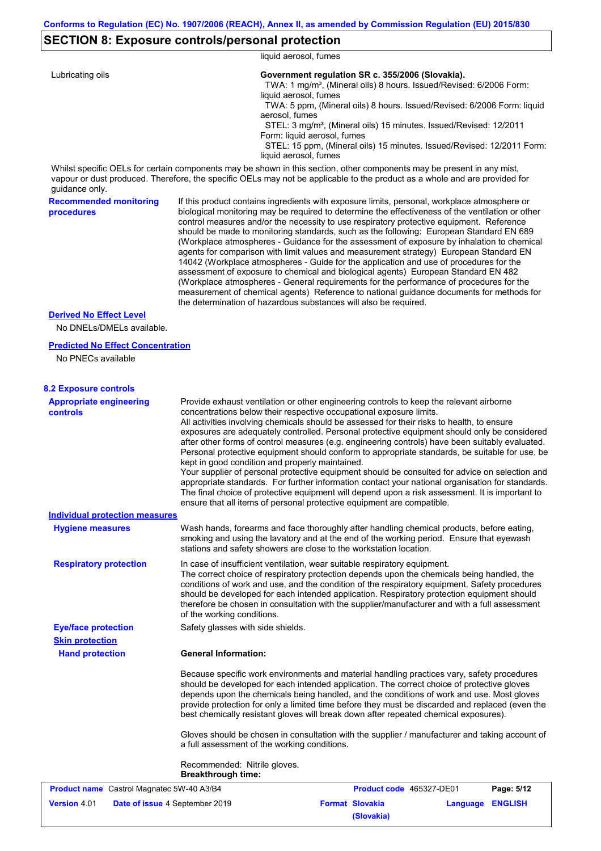# **SECTION 8: Exposure controls/personal protection**

|                                                                | liquid aerosol, fumes                                                                                                                                                                                                                                                                                                                                                                                                                                                                                                                                                                                                                                                                                                                                                                                                                                                                                                                                                                                                      |
|----------------------------------------------------------------|----------------------------------------------------------------------------------------------------------------------------------------------------------------------------------------------------------------------------------------------------------------------------------------------------------------------------------------------------------------------------------------------------------------------------------------------------------------------------------------------------------------------------------------------------------------------------------------------------------------------------------------------------------------------------------------------------------------------------------------------------------------------------------------------------------------------------------------------------------------------------------------------------------------------------------------------------------------------------------------------------------------------------|
| Lubricating oils                                               | Government regulation SR c. 355/2006 (Slovakia).<br>TWA: 1 mg/m <sup>3</sup> , (Mineral oils) 8 hours. Issued/Revised: 6/2006 Form:<br>liquid aerosol, fumes<br>TWA: 5 ppm, (Mineral oils) 8 hours. Issued/Revised: 6/2006 Form: liquid<br>aerosol, fumes<br>STEL: 3 mg/m <sup>3</sup> , (Mineral oils) 15 minutes. Issued/Revised: 12/2011<br>Form: liquid aerosol, fumes<br>STEL: 15 ppm, (Mineral oils) 15 minutes. Issued/Revised: 12/2011 Form:<br>liquid aerosol, fumes                                                                                                                                                                                                                                                                                                                                                                                                                                                                                                                                              |
| guidance only.                                                 | Whilst specific OELs for certain components may be shown in this section, other components may be present in any mist,<br>vapour or dust produced. Therefore, the specific OELs may not be applicable to the product as a whole and are provided for                                                                                                                                                                                                                                                                                                                                                                                                                                                                                                                                                                                                                                                                                                                                                                       |
| <b>Recommended monitoring</b><br>procedures                    | If this product contains ingredients with exposure limits, personal, workplace atmosphere or<br>biological monitoring may be required to determine the effectiveness of the ventilation or other<br>control measures and/or the necessity to use respiratory protective equipment. Reference<br>should be made to monitoring standards, such as the following: European Standard EN 689<br>(Workplace atmospheres - Guidance for the assessment of exposure by inhalation to chemical<br>agents for comparison with limit values and measurement strategy) European Standard EN<br>14042 (Workplace atmospheres - Guide for the application and use of procedures for the<br>assessment of exposure to chemical and biological agents) European Standard EN 482<br>(Workplace atmospheres - General requirements for the performance of procedures for the<br>measurement of chemical agents) Reference to national guidance documents for methods for<br>the determination of hazardous substances will also be required. |
| <b>Derived No Effect Level</b><br>No DNELs/DMELs available.    |                                                                                                                                                                                                                                                                                                                                                                                                                                                                                                                                                                                                                                                                                                                                                                                                                                                                                                                                                                                                                            |
| <b>Predicted No Effect Concentration</b><br>No PNECs available |                                                                                                                                                                                                                                                                                                                                                                                                                                                                                                                                                                                                                                                                                                                                                                                                                                                                                                                                                                                                                            |
| <b>8.2 Exposure controls</b>                                   |                                                                                                                                                                                                                                                                                                                                                                                                                                                                                                                                                                                                                                                                                                                                                                                                                                                                                                                                                                                                                            |
| <b>Appropriate engineering</b><br>controls                     | Provide exhaust ventilation or other engineering controls to keep the relevant airborne<br>concentrations below their respective occupational exposure limits.<br>All activities involving chemicals should be assessed for their risks to health, to ensure<br>exposures are adequately controlled. Personal protective equipment should only be considered<br>after other forms of control measures (e.g. engineering controls) have been suitably evaluated.<br>Personal protective equipment should conform to appropriate standards, be suitable for use, be<br>kept in good condition and properly maintained.<br>Your supplier of personal protective equipment should be consulted for advice on selection and<br>appropriate standards. For further information contact your national organisation for standards.<br>The final choice of protective equipment will depend upon a risk assessment. It is important to<br>ensure that all items of personal protective equipment are compatible.                    |
| <b>Individual protection measures</b>                          |                                                                                                                                                                                                                                                                                                                                                                                                                                                                                                                                                                                                                                                                                                                                                                                                                                                                                                                                                                                                                            |
| <b>Hygiene measures</b>                                        | Wash hands, forearms and face thoroughly after handling chemical products, before eating,<br>smoking and using the lavatory and at the end of the working period. Ensure that eyewash<br>stations and safety showers are close to the workstation location.                                                                                                                                                                                                                                                                                                                                                                                                                                                                                                                                                                                                                                                                                                                                                                |
| <b>Respiratory protection</b>                                  | In case of insufficient ventilation, wear suitable respiratory equipment.<br>The correct choice of respiratory protection depends upon the chemicals being handled, the<br>conditions of work and use, and the condition of the respiratory equipment. Safety procedures<br>should be developed for each intended application. Respiratory protection equipment should<br>therefore be chosen in consultation with the supplier/manufacturer and with a full assessment<br>of the working conditions.                                                                                                                                                                                                                                                                                                                                                                                                                                                                                                                      |
| <b>Eye/face protection</b><br><b>Skin protection</b>           | Safety glasses with side shields.                                                                                                                                                                                                                                                                                                                                                                                                                                                                                                                                                                                                                                                                                                                                                                                                                                                                                                                                                                                          |
| <b>Hand protection</b>                                         | <b>General Information:</b>                                                                                                                                                                                                                                                                                                                                                                                                                                                                                                                                                                                                                                                                                                                                                                                                                                                                                                                                                                                                |
|                                                                | Because specific work environments and material handling practices vary, safety procedures<br>should be developed for each intended application. The correct choice of protective gloves<br>depends upon the chemicals being handled, and the conditions of work and use. Most gloves<br>provide protection for only a limited time before they must be discarded and replaced (even the<br>best chemically resistant gloves will break down after repeated chemical exposures).                                                                                                                                                                                                                                                                                                                                                                                                                                                                                                                                           |
|                                                                | Gloves should be chosen in consultation with the supplier / manufacturer and taking account of<br>a full assessment of the working conditions.                                                                                                                                                                                                                                                                                                                                                                                                                                                                                                                                                                                                                                                                                                                                                                                                                                                                             |
|                                                                | Recommended: Nitrile gloves.<br><b>Breakthrough time:</b>                                                                                                                                                                                                                                                                                                                                                                                                                                                                                                                                                                                                                                                                                                                                                                                                                                                                                                                                                                  |

| .                                                |  |                                      |                                 |
|--------------------------------------------------|--|--------------------------------------|---------------------------------|
| <b>Product name</b> Castrol Magnatec 5W-40 A3/B4 |  |                                      | Page: 5/12                      |
| <b>Date of issue 4 September 2019</b>            |  | <b>Language ENGLISH</b>              |                                 |
|                                                  |  |                                      |                                 |
|                                                  |  | <b>Format Slovakia</b><br>(Slovakia) | <b>Product code</b> 465327-DE01 |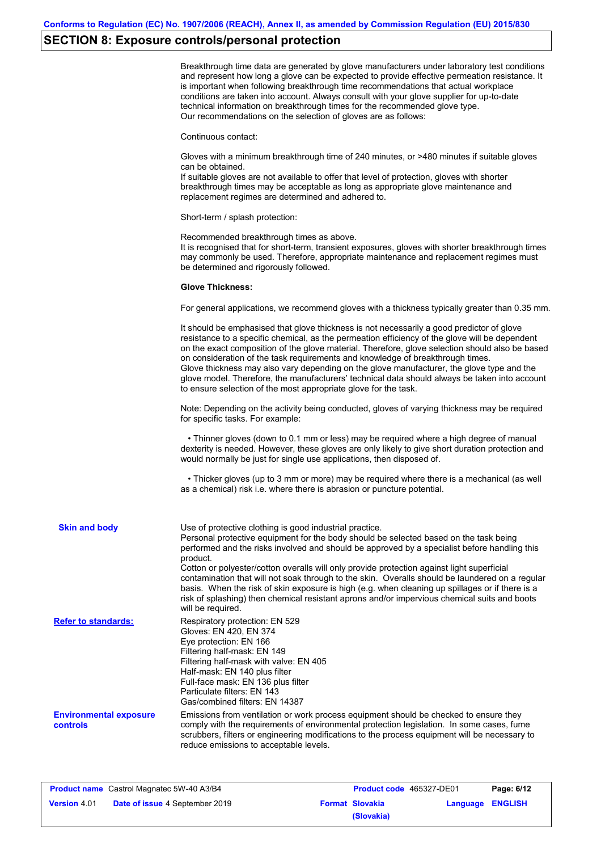# **SECTION 8: Exposure controls/personal protection**

| <b>Environmental exposure</b><br><b>controls</b> | Emissions from ventilation or work process equipment should be checked to ensure they<br>comply with the requirements of environmental protection legislation. In some cases, fume<br>scrubbers, filters or engineering modifications to the process equipment will be necessary to<br>reduce emissions to acceptable levels.                                                                                                                                                                                                                                                                                                                                                         |
|--------------------------------------------------|---------------------------------------------------------------------------------------------------------------------------------------------------------------------------------------------------------------------------------------------------------------------------------------------------------------------------------------------------------------------------------------------------------------------------------------------------------------------------------------------------------------------------------------------------------------------------------------------------------------------------------------------------------------------------------------|
| <b>Refer to standards:</b>                       | Respiratory protection: EN 529<br>Gloves: EN 420, EN 374<br>Eye protection: EN 166<br>Filtering half-mask: EN 149<br>Filtering half-mask with valve: EN 405<br>Half-mask: EN 140 plus filter<br>Full-face mask: EN 136 plus filter<br>Particulate filters: EN 143<br>Gas/combined filters: EN 14387                                                                                                                                                                                                                                                                                                                                                                                   |
| <b>Skin and body</b>                             | Use of protective clothing is good industrial practice.<br>Personal protective equipment for the body should be selected based on the task being<br>performed and the risks involved and should be approved by a specialist before handling this<br>product.<br>Cotton or polyester/cotton overalls will only provide protection against light superficial<br>contamination that will not soak through to the skin. Overalls should be laundered on a regular<br>basis. When the risk of skin exposure is high (e.g. when cleaning up spillages or if there is a<br>risk of splashing) then chemical resistant aprons and/or impervious chemical suits and boots<br>will be required. |
|                                                  | • Thicker gloves (up to 3 mm or more) may be required where there is a mechanical (as well<br>as a chemical) risk i.e. where there is abrasion or puncture potential.                                                                                                                                                                                                                                                                                                                                                                                                                                                                                                                 |
|                                                  | • Thinner gloves (down to 0.1 mm or less) may be required where a high degree of manual<br>dexterity is needed. However, these gloves are only likely to give short duration protection and<br>would normally be just for single use applications, then disposed of.                                                                                                                                                                                                                                                                                                                                                                                                                  |
|                                                  | Note: Depending on the activity being conducted, gloves of varying thickness may be required<br>for specific tasks. For example:                                                                                                                                                                                                                                                                                                                                                                                                                                                                                                                                                      |
|                                                  | It should be emphasised that glove thickness is not necessarily a good predictor of glove<br>resistance to a specific chemical, as the permeation efficiency of the glove will be dependent<br>on the exact composition of the glove material. Therefore, glove selection should also be based<br>on consideration of the task requirements and knowledge of breakthrough times.<br>Glove thickness may also vary depending on the glove manufacturer, the glove type and the<br>glove model. Therefore, the manufacturers' technical data should always be taken into account<br>to ensure selection of the most appropriate glove for the task.                                     |
|                                                  | For general applications, we recommend gloves with a thickness typically greater than 0.35 mm.                                                                                                                                                                                                                                                                                                                                                                                                                                                                                                                                                                                        |
|                                                  | <b>Glove Thickness:</b>                                                                                                                                                                                                                                                                                                                                                                                                                                                                                                                                                                                                                                                               |
|                                                  | Recommended breakthrough times as above.<br>It is recognised that for short-term, transient exposures, gloves with shorter breakthrough times<br>may commonly be used. Therefore, appropriate maintenance and replacement regimes must<br>be determined and rigorously followed.                                                                                                                                                                                                                                                                                                                                                                                                      |
|                                                  | Short-term / splash protection:                                                                                                                                                                                                                                                                                                                                                                                                                                                                                                                                                                                                                                                       |
|                                                  | Gloves with a minimum breakthrough time of 240 minutes, or >480 minutes if suitable gloves<br>can be obtained.<br>If suitable gloves are not available to offer that level of protection, gloves with shorter<br>breakthrough times may be acceptable as long as appropriate glove maintenance and<br>replacement regimes are determined and adhered to.                                                                                                                                                                                                                                                                                                                              |
|                                                  | Continuous contact:                                                                                                                                                                                                                                                                                                                                                                                                                                                                                                                                                                                                                                                                   |
|                                                  | Breakthrough time data are generated by glove manufacturers under laboratory test conditions<br>and represent how long a glove can be expected to provide effective permeation resistance. It<br>is important when following breakthrough time recommendations that actual workplace<br>conditions are taken into account. Always consult with your glove supplier for up-to-date<br>technical information on breakthrough times for the recommended glove type.<br>Our recommendations on the selection of gloves are as follows:                                                                                                                                                    |

| <b>Product name</b> Castrol Magnatec 5W-40 A3/B4 |                                       | <b>Product code</b> 465327-DE01 |                        | Page: 6/12       |  |
|--------------------------------------------------|---------------------------------------|---------------------------------|------------------------|------------------|--|
| <b>Version 4.01</b>                              | <b>Date of issue 4 September 2019</b> |                                 | <b>Format Slovakia</b> | Language ENGLISH |  |
|                                                  |                                       |                                 | (Slovakia)             |                  |  |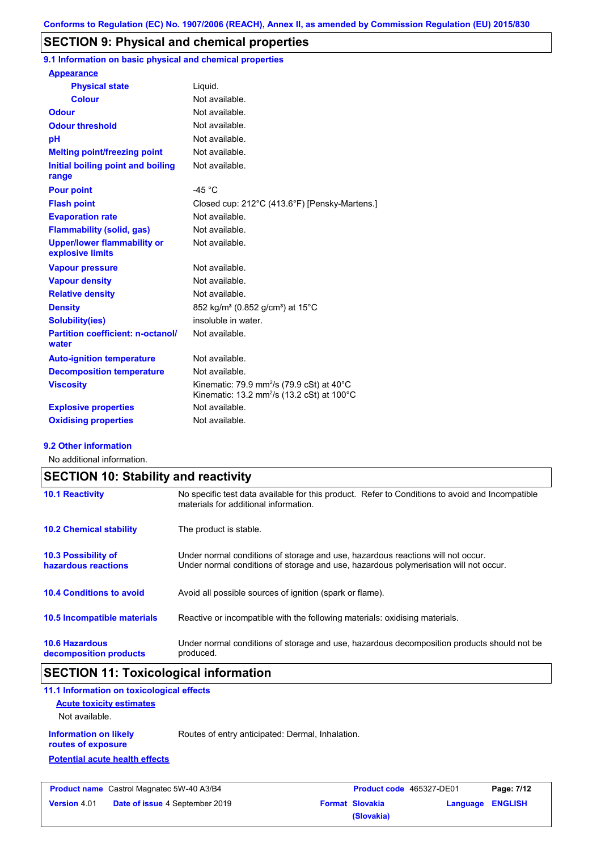### **SECTION 9: Physical and chemical properties**

**9.1 Information on basic physical and chemical properties**

| <b>Appearance</b>                                      |                                                                                                                           |
|--------------------------------------------------------|---------------------------------------------------------------------------------------------------------------------------|
| <b>Physical state</b>                                  | Liquid.                                                                                                                   |
| <b>Colour</b>                                          | Not available.                                                                                                            |
| <b>Odour</b>                                           | Not available.                                                                                                            |
| <b>Odour threshold</b>                                 | Not available.                                                                                                            |
| рH                                                     | Not available.                                                                                                            |
| <b>Melting point/freezing point</b>                    | Not available.                                                                                                            |
| Initial boiling point and boiling<br>range             | Not available.                                                                                                            |
| <b>Pour point</b>                                      | $-45 °C$                                                                                                                  |
| <b>Flash point</b>                                     | Closed cup: 212°C (413.6°F) [Pensky-Martens.]                                                                             |
| <b>Evaporation rate</b>                                | Not available.                                                                                                            |
| <b>Flammability (solid, gas)</b>                       | Not available.                                                                                                            |
| <b>Upper/lower flammability or</b><br>explosive limits | Not available.                                                                                                            |
| <b>Vapour pressure</b>                                 | Not available.                                                                                                            |
| <b>Vapour density</b>                                  | Not available.                                                                                                            |
| <b>Relative density</b>                                | Not available.                                                                                                            |
| <b>Density</b>                                         | 852 kg/m <sup>3</sup> (0.852 g/cm <sup>3</sup> ) at 15°C                                                                  |
| <b>Solubility(ies)</b>                                 | insoluble in water.                                                                                                       |
| <b>Partition coefficient: n-octanol/</b><br>water      | Not available.                                                                                                            |
| <b>Auto-ignition temperature</b>                       | Not available.                                                                                                            |
| <b>Decomposition temperature</b>                       | Not available.                                                                                                            |
| <b>Viscosity</b>                                       | Kinematic: 79.9 mm <sup>2</sup> /s (79.9 cSt) at $40^{\circ}$ C<br>Kinematic: 13.2 mm <sup>2</sup> /s (13.2 cSt) at 100°C |
| <b>Explosive properties</b>                            | Not available.                                                                                                            |
| <b>Oxidising properties</b>                            | Not available.                                                                                                            |
|                                                        |                                                                                                                           |

#### **9.2 Other information**

**Version** 4.01

No additional information.

| <b>SECTION 10: Stability and reactivity</b>       |                                                                                                                                                                         |  |
|---------------------------------------------------|-------------------------------------------------------------------------------------------------------------------------------------------------------------------------|--|
| <b>10.1 Reactivity</b>                            | No specific test data available for this product. Refer to Conditions to avoid and Incompatible<br>materials for additional information.                                |  |
| <b>10.2 Chemical stability</b>                    | The product is stable.                                                                                                                                                  |  |
| <b>10.3 Possibility of</b><br>hazardous reactions | Under normal conditions of storage and use, hazardous reactions will not occur.<br>Under normal conditions of storage and use, hazardous polymerisation will not occur. |  |
| <b>10.4 Conditions to avoid</b>                   | Avoid all possible sources of ignition (spark or flame).                                                                                                                |  |
| <b>10.5 Incompatible materials</b>                | Reactive or incompatible with the following materials: oxidising materials.                                                                                             |  |
| <b>10.6 Hazardous</b><br>decomposition products   | Under normal conditions of storage and use, hazardous decomposition products should not be<br>produced.                                                                 |  |

## **SECTION 11: Toxicological information**

| 11.1 Information on toxicological effects          |                                                  |                          |            |
|----------------------------------------------------|--------------------------------------------------|--------------------------|------------|
| <b>Acute toxicity estimates</b>                    |                                                  |                          |            |
| Not available.                                     |                                                  |                          |            |
| <b>Information on likely</b><br>routes of exposure | Routes of entry anticipated: Dermal, Inhalation. |                          |            |
| <b>Potential acute health effects</b>              |                                                  |                          |            |
|                                                    |                                                  |                          |            |
| <b>Product name</b> Castrol Magnatec 5W-40 A3/B4   |                                                  | Product code 465327-DE01 | Page: 7/12 |

**Date of issue** 4 September 2019 **Format Slovakia Language ENGLISH** 

**(Slovakia)**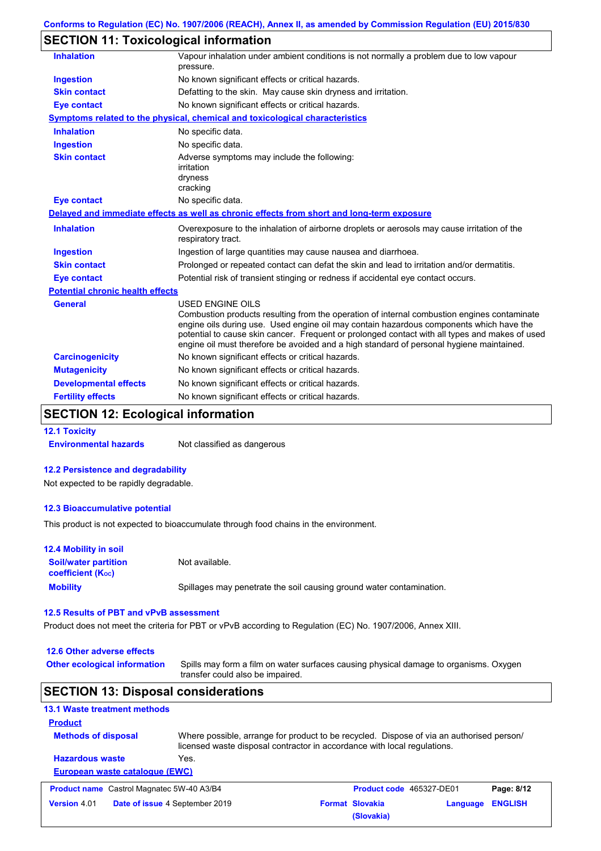## **SECTION 11: Toxicological information**

| <b>Inhalation</b>                       | Vapour inhalation under ambient conditions is not normally a problem due to low vapour<br>pressure.                                                                                                                                                                                                                                                                                                             |
|-----------------------------------------|-----------------------------------------------------------------------------------------------------------------------------------------------------------------------------------------------------------------------------------------------------------------------------------------------------------------------------------------------------------------------------------------------------------------|
| Ingestion                               | No known significant effects or critical hazards.                                                                                                                                                                                                                                                                                                                                                               |
| <b>Skin contact</b>                     | Defatting to the skin. May cause skin dryness and irritation.                                                                                                                                                                                                                                                                                                                                                   |
| <b>Eye contact</b>                      | No known significant effects or critical hazards.                                                                                                                                                                                                                                                                                                                                                               |
|                                         | Symptoms related to the physical, chemical and toxicological characteristics                                                                                                                                                                                                                                                                                                                                    |
| <b>Inhalation</b>                       | No specific data.                                                                                                                                                                                                                                                                                                                                                                                               |
| <b>Ingestion</b>                        | No specific data.                                                                                                                                                                                                                                                                                                                                                                                               |
| <b>Skin contact</b>                     | Adverse symptoms may include the following:<br>irritation<br>dryness<br>cracking                                                                                                                                                                                                                                                                                                                                |
| <b>Eye contact</b>                      | No specific data.                                                                                                                                                                                                                                                                                                                                                                                               |
|                                         | Delayed and immediate effects as well as chronic effects from short and long-term exposure                                                                                                                                                                                                                                                                                                                      |
| <b>Inhalation</b>                       | Overexposure to the inhalation of airborne droplets or aerosols may cause irritation of the<br>respiratory tract.                                                                                                                                                                                                                                                                                               |
| <b>Ingestion</b>                        | Ingestion of large quantities may cause nausea and diarrhoea.                                                                                                                                                                                                                                                                                                                                                   |
| <b>Skin contact</b>                     | Prolonged or repeated contact can defat the skin and lead to irritation and/or dermatitis.                                                                                                                                                                                                                                                                                                                      |
| <b>Eye contact</b>                      | Potential risk of transient stinging or redness if accidental eye contact occurs.                                                                                                                                                                                                                                                                                                                               |
| <b>Potential chronic health effects</b> |                                                                                                                                                                                                                                                                                                                                                                                                                 |
| General                                 | <b>USED ENGINE OILS</b><br>Combustion products resulting from the operation of internal combustion engines contaminate<br>engine oils during use. Used engine oil may contain hazardous components which have the<br>potential to cause skin cancer. Frequent or prolonged contact with all types and makes of used<br>engine oil must therefore be avoided and a high standard of personal hygiene maintained. |
| <b>Carcinogenicity</b>                  | No known significant effects or critical hazards.                                                                                                                                                                                                                                                                                                                                                               |
| <b>Mutagenicity</b>                     | No known significant effects or critical hazards.                                                                                                                                                                                                                                                                                                                                                               |
| <b>Developmental effects</b>            | No known significant effects or critical hazards.                                                                                                                                                                                                                                                                                                                                                               |
| <b>Fertility effects</b>                | No known significant effects or critical hazards.                                                                                                                                                                                                                                                                                                                                                               |
|                                         |                                                                                                                                                                                                                                                                                                                                                                                                                 |

## **SECTION 12: Ecological information**

**12.1 Toxicity**

**Environmental hazards** Not classified as dangerous

#### **12.2 Persistence and degradability**

Not expected to be rapidly degradable.

#### **12.3 Bioaccumulative potential**

This product is not expected to bioaccumulate through food chains in the environment.

| <b>12.4 Mobility in soil</b>                            |                                                                      |
|---------------------------------------------------------|----------------------------------------------------------------------|
| <b>Soil/water partition</b><br><b>coefficient (Koc)</b> | Not available.                                                       |
| <b>Mobility</b>                                         | Spillages may penetrate the soil causing ground water contamination. |

#### **12.5 Results of PBT and vPvB assessment**

Product does not meet the criteria for PBT or vPvB according to Regulation (EC) No. 1907/2006, Annex XIII.

| 12.6 Other adverse effects                       |                                                                                                                                                                      |                                                                                       |  |            |  |
|--------------------------------------------------|----------------------------------------------------------------------------------------------------------------------------------------------------------------------|---------------------------------------------------------------------------------------|--|------------|--|
| <b>Other ecological information</b>              | transfer could also be impaired.                                                                                                                                     | Spills may form a film on water surfaces causing physical damage to organisms. Oxygen |  |            |  |
| <b>SECTION 13: Disposal considerations</b>       |                                                                                                                                                                      |                                                                                       |  |            |  |
| <b>13.1 Waste treatment methods</b>              |                                                                                                                                                                      |                                                                                       |  |            |  |
|                                                  |                                                                                                                                                                      |                                                                                       |  |            |  |
| <b>Product</b>                                   |                                                                                                                                                                      |                                                                                       |  |            |  |
| <b>Methods of disposal</b>                       | Where possible, arrange for product to be recycled. Dispose of via an authorised person/<br>licensed waste disposal contractor in accordance with local regulations. |                                                                                       |  |            |  |
| <b>Hazardous waste</b>                           | Yes.                                                                                                                                                                 |                                                                                       |  |            |  |
| <b>European waste catalogue (EWC)</b>            |                                                                                                                                                                      |                                                                                       |  |            |  |
| <b>Product name</b> Castrol Magnatec 5W-40 A3/B4 |                                                                                                                                                                      | Product code 465327-DE01                                                              |  | Page: 8/12 |  |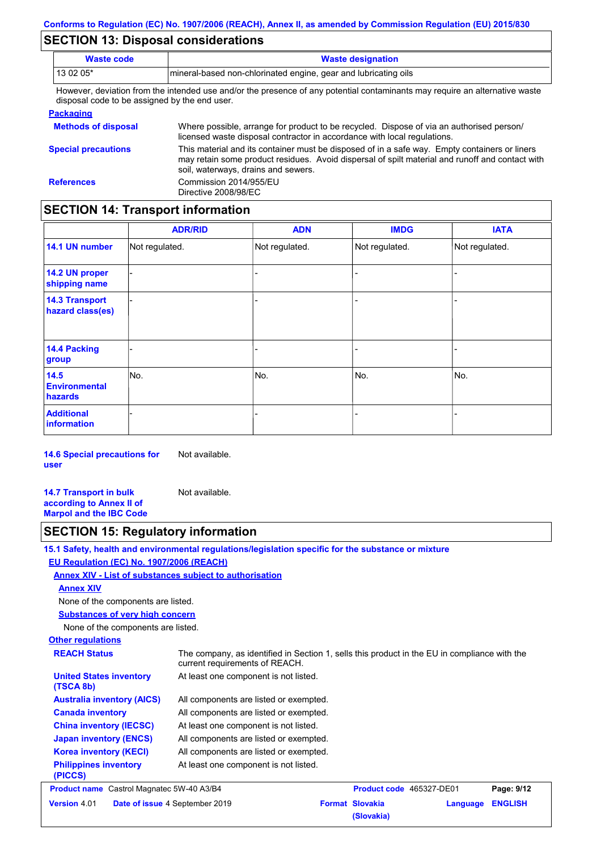## **SECTION 13: Disposal considerations**

| <b>Waste code</b>                                                 | <b>Waste designation</b><br>mineral-based non-chlorinated engine, gear and lubricating oils                                                                                                      |  |  |  |
|-------------------------------------------------------------------|--------------------------------------------------------------------------------------------------------------------------------------------------------------------------------------------------|--|--|--|
| 13 02 05*                                                         |                                                                                                                                                                                                  |  |  |  |
| disposal code to be assigned by the end user.<br><b>Packaging</b> | However, deviation from the intended use and/or the presence of any potential contaminants may require an alternative waste                                                                      |  |  |  |
| <b>Methods of disposal</b>                                        | Where possible, arrange for product to be recycled. Dispose of via an authorised person/<br>licensed waste disposal contractor in accordance with local regulations.                             |  |  |  |
| <b>Special precautions</b>                                        | This material and its container must be disposed of in a safe way. Empty containers or liners<br>may retain some product residues. Avoid dispersal of spilt material and runoff and contact with |  |  |  |

soil, waterways, drains and sewers. **References** Commission 2014/955/EU Directive 2008/98/EC

## **SECTION 14: Transport information**

|                                           | <b>ADR/RID</b> | <b>ADN</b>     | <b>IMDG</b>    | <b>IATA</b>    |
|-------------------------------------------|----------------|----------------|----------------|----------------|
| 14.1 UN number                            | Not regulated. | Not regulated. | Not regulated. | Not regulated. |
| 14.2 UN proper<br>shipping name           |                |                |                |                |
| <b>14.3 Transport</b><br>hazard class(es) |                |                | ۰              |                |
| 14.4 Packing<br>group                     |                |                | ۰              |                |
| 14.5<br><b>Environmental</b><br>hazards   | No.            | No.            | No.            | No.            |
| <b>Additional</b><br>information          |                |                | ۰              |                |

**14.6 Special precautions for user** Not available.

**14.7 Transport in bulk according to Annex II of Marpol and the IBC Code** Not available.

## **SECTION 15: Regulatory information**

|                                                                | 15.1 Safety, health and environmental regulations/legislation specific for the substance or mixture                            |                          |                |
|----------------------------------------------------------------|--------------------------------------------------------------------------------------------------------------------------------|--------------------------|----------------|
| EU Regulation (EC) No. 1907/2006 (REACH)                       |                                                                                                                                |                          |                |
| <b>Annex XIV - List of substances subject to authorisation</b> |                                                                                                                                |                          |                |
| <b>Annex XIV</b>                                               |                                                                                                                                |                          |                |
| None of the components are listed.                             |                                                                                                                                |                          |                |
| <b>Substances of very high concern</b>                         |                                                                                                                                |                          |                |
| None of the components are listed.                             |                                                                                                                                |                          |                |
| <b>Other regulations</b>                                       |                                                                                                                                |                          |                |
| <b>REACH Status</b>                                            | The company, as identified in Section 1, sells this product in the EU in compliance with the<br>current requirements of REACH. |                          |                |
| <b>United States inventory</b><br>(TSCA 8b)                    | At least one component is not listed.                                                                                          |                          |                |
| <b>Australia inventory (AICS)</b>                              | All components are listed or exempted.                                                                                         |                          |                |
| <b>Canada inventory</b>                                        | All components are listed or exempted.                                                                                         |                          |                |
| <b>China inventory (IECSC)</b>                                 | At least one component is not listed.                                                                                          |                          |                |
| <b>Japan inventory (ENCS)</b>                                  | All components are listed or exempted.                                                                                         |                          |                |
| <b>Korea inventory (KECI)</b>                                  | All components are listed or exempted.                                                                                         |                          |                |
| <b>Philippines inventory</b><br>(PICCS)                        | At least one component is not listed.                                                                                          |                          |                |
| <b>Product name</b> Castrol Magnatec 5W-40 A3/B4               |                                                                                                                                | Product code 465327-DE01 | Page: 9/12     |
| <b>Version 4.01</b>                                            | <b>Format Slovakia</b><br>Date of issue 4 September 2019                                                                       | Language<br>(Slovakia)   | <b>ENGLISH</b> |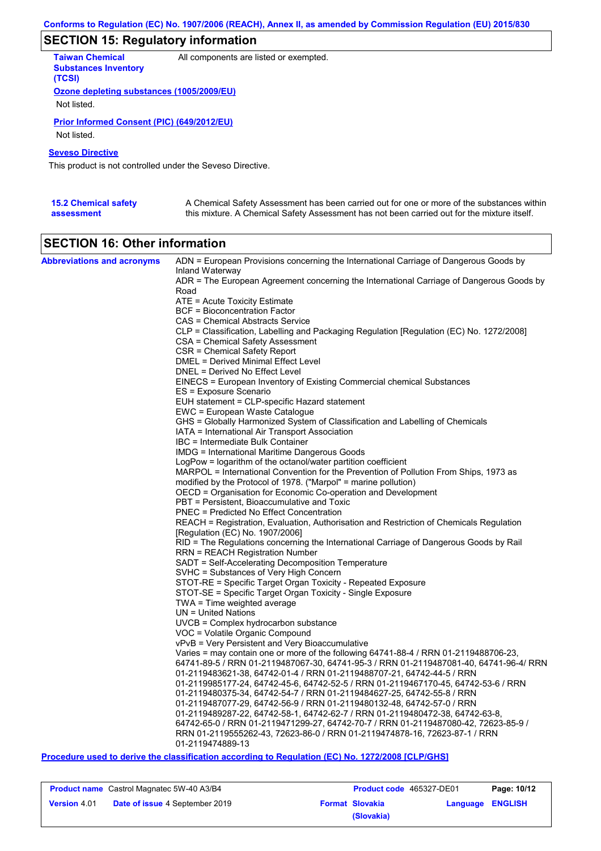### **SECTION 15: Regulatory information**

**Taiwan Chemical Substances Inventory (TCSI)** All components are listed or exempted. **Ozone depleting substances (1005/2009/EU)** Not listed.

**Prior Informed Consent (PIC) (649/2012/EU)** Not listed.

#### **Seveso Directive**

This product is not controlled under the Seveso Directive.

| <b>15.2 Chemical safety</b> | A Chemical Safety Assessment has been carried out for one or more of the substances within  |
|-----------------------------|---------------------------------------------------------------------------------------------|
| assessment                  | this mixture. A Chemical Safety Assessment has not been carried out for the mixture itself. |

### **SECTION 16: Other information**

| <b>Abbreviations and acronyms</b> | ADN = European Provisions concerning the International Carriage of Dangerous Goods by<br>Inland Waterway                                                   |
|-----------------------------------|------------------------------------------------------------------------------------------------------------------------------------------------------------|
|                                   | ADR = The European Agreement concerning the International Carriage of Dangerous Goods by<br>Road                                                           |
|                                   | ATE = Acute Toxicity Estimate                                                                                                                              |
|                                   | BCF = Bioconcentration Factor                                                                                                                              |
|                                   | CAS = Chemical Abstracts Service                                                                                                                           |
|                                   | CLP = Classification, Labelling and Packaging Regulation [Regulation (EC) No. 1272/2008]                                                                   |
|                                   | CSA = Chemical Safety Assessment                                                                                                                           |
|                                   | CSR = Chemical Safety Report                                                                                                                               |
|                                   | DMEL = Derived Minimal Effect Level<br>DNEL = Derived No Effect Level                                                                                      |
|                                   | EINECS = European Inventory of Existing Commercial chemical Substances                                                                                     |
|                                   | ES = Exposure Scenario                                                                                                                                     |
|                                   | EUH statement = CLP-specific Hazard statement                                                                                                              |
|                                   | EWC = European Waste Catalogue                                                                                                                             |
|                                   | GHS = Globally Harmonized System of Classification and Labelling of Chemicals                                                                              |
|                                   | IATA = International Air Transport Association                                                                                                             |
|                                   | IBC = Intermediate Bulk Container                                                                                                                          |
|                                   | IMDG = International Maritime Dangerous Goods                                                                                                              |
|                                   | LogPow = logarithm of the octanol/water partition coefficient                                                                                              |
|                                   | MARPOL = International Convention for the Prevention of Pollution From Ships, 1973 as<br>modified by the Protocol of 1978. ("Marpol" = marine pollution)   |
|                                   | OECD = Organisation for Economic Co-operation and Development                                                                                              |
|                                   | PBT = Persistent, Bioaccumulative and Toxic                                                                                                                |
|                                   | PNEC = Predicted No Effect Concentration                                                                                                                   |
|                                   | REACH = Registration, Evaluation, Authorisation and Restriction of Chemicals Regulation                                                                    |
|                                   | [Regulation (EC) No. 1907/2006]                                                                                                                            |
|                                   | RID = The Regulations concerning the International Carriage of Dangerous Goods by Rail                                                                     |
|                                   | RRN = REACH Registration Number                                                                                                                            |
|                                   | SADT = Self-Accelerating Decomposition Temperature                                                                                                         |
|                                   | SVHC = Substances of Very High Concern                                                                                                                     |
|                                   | STOT-RE = Specific Target Organ Toxicity - Repeated Exposure<br>STOT-SE = Specific Target Organ Toxicity - Single Exposure                                 |
|                                   | TWA = Time weighted average                                                                                                                                |
|                                   | $UN = United Nations$                                                                                                                                      |
|                                   | UVCB = Complex hydrocarbon substance                                                                                                                       |
|                                   | VOC = Volatile Organic Compound                                                                                                                            |
|                                   | vPvB = Very Persistent and Very Bioaccumulative                                                                                                            |
|                                   | Varies = may contain one or more of the following $64741-88-4$ / RRN 01-2119488706-23,                                                                     |
|                                   | 64741-89-5 / RRN 01-2119487067-30, 64741-95-3 / RRN 01-2119487081-40, 64741-96-4/ RRN                                                                      |
|                                   | 01-2119483621-38, 64742-01-4 / RRN 01-2119488707-21, 64742-44-5 / RRN                                                                                      |
|                                   | 01-2119985177-24, 64742-45-6, 64742-52-5 / RRN 01-2119467170-45, 64742-53-6 / RRN<br>01-2119480375-34, 64742-54-7 / RRN 01-2119484627-25, 64742-55-8 / RRN |
|                                   | 01-2119487077-29, 64742-56-9 / RRN 01-2119480132-48, 64742-57-0 / RRN                                                                                      |
|                                   | 01-2119489287-22, 64742-58-1, 64742-62-7 / RRN 01-2119480472-38, 64742-63-8,                                                                               |
|                                   | 64742-65-0 / RRN 01-2119471299-27, 64742-70-7 / RRN 01-2119487080-42, 72623-85-9 /                                                                         |
|                                   | RRN 01-2119555262-43, 72623-86-0 / RRN 01-2119474878-16, 72623-87-1 / RRN                                                                                  |
|                                   | 01-2119474889-13                                                                                                                                           |
|                                   |                                                                                                                                                            |

**Procedure used to derive the classification according to Regulation (EC) No. 1272/2008 [CLP/GHS]**

#### **Product name** Castrol Magnatec 5W-40 A3/B4 **Product code** 465327-DE01 **Page: 10/12 Version** 4.01 **Date of issue** 4 September 2019 **Format Slovakia Language ENGLISH (Slovakia)**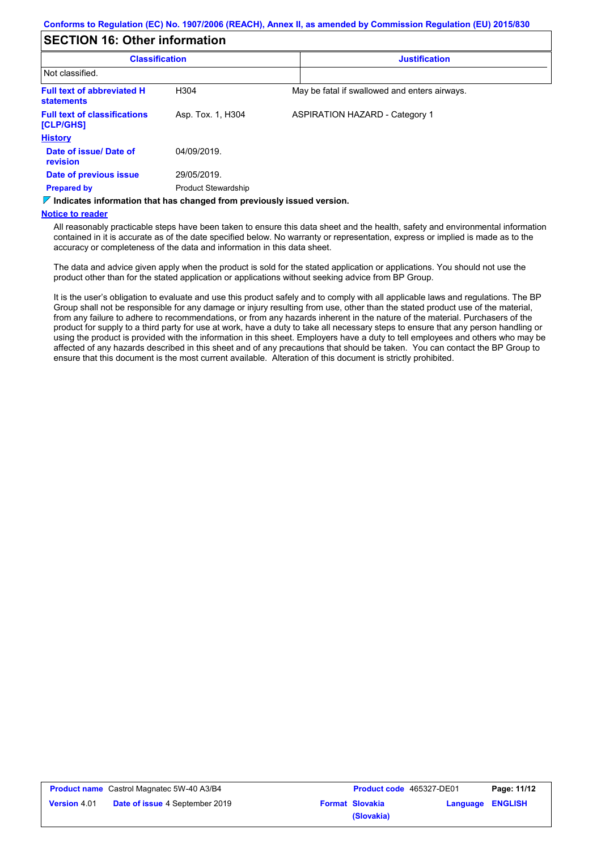## **SECTION 16: Other information**

| <b>Classification</b>                                  |                            | <b>Justification</b> |                                               |  |
|--------------------------------------------------------|----------------------------|----------------------|-----------------------------------------------|--|
| Not classified.                                        |                            |                      |                                               |  |
| <b>Full text of abbreviated H</b><br><b>statements</b> | H304                       |                      | May be fatal if swallowed and enters airways. |  |
| <b>Full text of classifications</b><br>[CLP/GHS]       | Asp. Tox. 1, H304          |                      | <b>ASPIRATION HAZARD - Category 1</b>         |  |
| <b>History</b>                                         |                            |                      |                                               |  |
| Date of issue/ Date of<br>revision                     | 04/09/2019.                |                      |                                               |  |
| Date of previous issue                                 | 29/05/2019.                |                      |                                               |  |
| <b>Prepared by</b>                                     | <b>Product Stewardship</b> |                      |                                               |  |

**Indicates information that has changed from previously issued version.**

#### **Notice to reader**

All reasonably practicable steps have been taken to ensure this data sheet and the health, safety and environmental information contained in it is accurate as of the date specified below. No warranty or representation, express or implied is made as to the accuracy or completeness of the data and information in this data sheet.

The data and advice given apply when the product is sold for the stated application or applications. You should not use the product other than for the stated application or applications without seeking advice from BP Group.

It is the user's obligation to evaluate and use this product safely and to comply with all applicable laws and regulations. The BP Group shall not be responsible for any damage or injury resulting from use, other than the stated product use of the material, from any failure to adhere to recommendations, or from any hazards inherent in the nature of the material. Purchasers of the product for supply to a third party for use at work, have a duty to take all necessary steps to ensure that any person handling or using the product is provided with the information in this sheet. Employers have a duty to tell employees and others who may be affected of any hazards described in this sheet and of any precautions that should be taken. You can contact the BP Group to ensure that this document is the most current available. Alteration of this document is strictly prohibited.